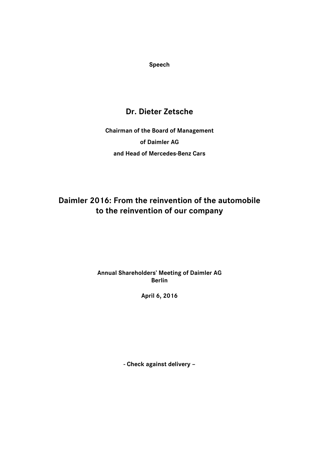**Speech**

# **Dr. Dieter Zetsche**

**Chairman of the Board of Management of Daimler AG and Head of Mercedes-Benz Cars**

# **Daimler 2016: From the reinvention of the automobile to the reinvention of our company**

## **Annual Shareholders' Meeting of Daimler AG Berlin**

**April 6, 2016**

**- Check against delivery –**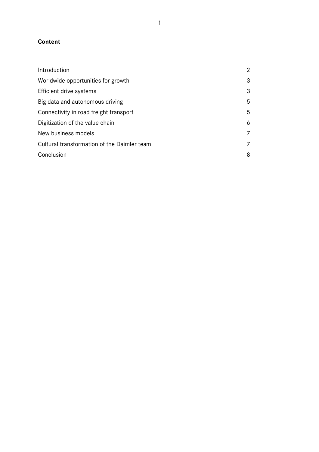# **Content**

| Introduction                                | $\overline{2}$ |
|---------------------------------------------|----------------|
| Worldwide opportunities for growth          | 3              |
| Efficient drive systems                     | 3              |
| Big data and autonomous driving             | 5              |
| Connectivity in road freight transport      | 5              |
| Digitization of the value chain             | 6              |
| New business models                         | 7              |
| Cultural transformation of the Daimler team | 7              |
| Conclusion                                  | 8              |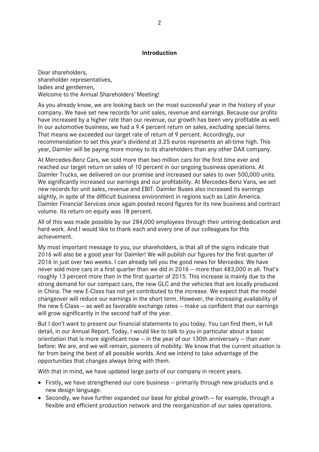### **Introduction**

Dear shareholders, shareholder representatives, ladies and gentlemen, Welcome to the Annual Shareholders' Meeting!

As you already know, we are looking back on the most successful year in the history of your company. We have set new records for unit sales, revenue and earnings. Because our profits have increased by a higher rate than our revenue, our growth has been very profitable as well. In our automotive business, we had a 9.4 percent return on sales, excluding special items. That means we exceeded our target rate of return of 9 percent. Accordingly, our recommendation to set this year's dividend at 3.25 euros represents an all-time high. This year, Daimler will be paying more money to its shareholders than any other DAX company.

At Mercedes-Benz Cars, we sold more than two million cars for the first time ever and reached our target return on sales of 10 percent in our ongoing business operations. At Daimler Trucks, we delivered on our promise and increased our sales to over 500,000 units. We significantly increased our earnings and our profitability. At Mercedes-Benz Vans, we set new records for unit sales, revenue and EBIT. Daimler Buses also increased its earnings slightly, in spite of the difficult business environment in regions such as Latin America. Daimler Financial Services once again posted record figures for its new business and contract volume. Its return on equity was 18 percent.

All of this was made possible by our 284,000 employees through their untiring dedication and hard work. And I would like to thank each and every one of our colleagues for this achievement.

My most important message to you, our shareholders, is that all of the signs indicate that 2016 will also be a good year for Daimler! We will publish our figures for the first quarter of 2016 in just over two weeks. I can already tell you the good news for Mercedes: We have never sold more cars in a first quarter than we did in 2016 — more than 483,000 in all. That's roughly 13 percent more than in the first quarter of 2015. This increase is mainly due to the strong demand for our compact cars, the new GLC and the vehicles that are locally produced in China. The new E-Class has not yet contributed to the increase. We expect that the model changeover will reduce our earnings in the short term. However, the increasing availability of the new E-Class — as well as favorable exchange rates — make us confident that our earnings will grow significantly in the second half of the year.

But I don't want to present our financial statements to you today. You can find them, in full detail, in our Annual Report. Today, I would like to talk to you in particular about a basic orientation that is more significant now — in the year of our 130th anniversary — than ever before: We are, and we will remain, pioneers of mobility. We know that the current situation is far from being the best of all possible worlds. And we intend to take advantage of the opportunities that changes always bring with them.

With that in mind, we have updated large parts of our company in recent years.

- Firstly, we have strengthened our core business primarily through new products and a new design language.
- $\bullet$  Secondly, we have further expanded our base for global growth  $-$  for example, through a flexible and efficient production network and the reorganization of our sales operations.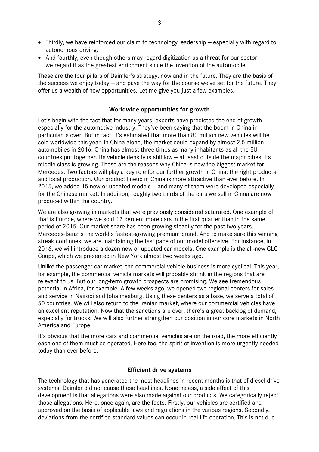- Thirdly, we have reinforced our claim to technology leadership especially with regard to autonomous driving.
- And fourthly, even though others may regard digitization as a threat for our sector  $$ we regard it as the greatest enrichment since the invention of the automobile.

These are the four pillars of Daimler's strategy, now and in the future. They are the basis of the success we enjoy today — and pave the way for the course we've set for the future. They offer us a wealth of new opportunities. Let me give you just a few examples.

### **Worldwide opportunities for growth**

Let's begin with the fact that for many years, experts have predicted the end of growth especially for the automotive industry. They've been saying that the boom in China in particular is over. But in fact, it's estimated that more than 80 million new vehicles will be sold worldwide this year. In China alone, the market could expand by almost 2.5 million automobiles in 2016. China has almost three times as many inhabitants as all the EU countries put together. Its vehicle density is still low — at least outside the major cities. Its middle class is growing. These are the reasons why China is now the biggest market for Mercedes. Two factors will play a key role for our further growth in China: the right products and local production. Our product lineup in China is more attractive than ever before. In 2015, we added 15 new or updated models — and many of them were developed especially for the Chinese market. In addition, roughly two thirds of the cars we sell in China are now produced within the country.

We are also growing in markets that were previously considered saturated. One example of that is Europe, where we sold 12 percent more cars in the first quarter than in the same period of 2015. Our market share has been growing steadily for the past two years. Mercedes-Benz is the world's fastest-growing premium brand. And to make sure this winning streak continues, we are maintaining the fast pace of our model offensive. For instance, in 2016, we will introduce a dozen new or updated car models. One example is the all-new GLC Coupe, which we presented in New York almost two weeks ago.

Unlike the passenger car market, the commercial vehicle business is more cyclical. This year, for example, the commercial vehicle markets will probably shrink in the regions that are relevant to us. But our long-term growth prospects are promising. We see tremendous potential in Africa, for example. A few weeks ago, we opened two regional centers for sales and service in Nairobi and Johannesburg. Using these centers as a base, we serve a total of 50 countries. We will also return to the Iranian market, where our commercial vehicles have an excellent reputation. Now that the sanctions are over, there's a great backlog of demand, especially for trucks. We will also further strengthen our position in our core markets in North America and Europe.

It's obvious that the more cars and commercial vehicles are on the road, the more efficiently each one of them must be operated. Here too, the spirit of invention is more urgently needed today than ever before.

#### **Efficient drive systems**

The technology that has generated the most headlines in recent months is that of diesel drive systems. Daimler did not cause these headlines. Nonetheless, a side effect of this development is that allegations were also made against our products. We categorically reject those allegations. Here, once again, are the facts. Firstly, our vehicles are certified and approved on the basis of applicable laws and regulations in the various regions. Secondly, deviations from the certified standard values can occur in real-life operation. This is not due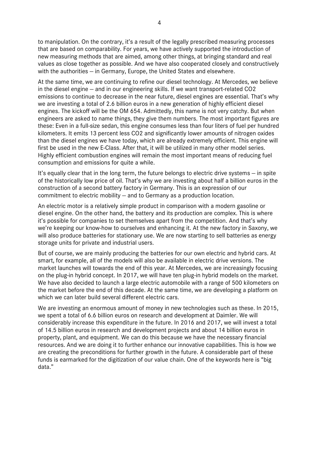to manipulation. On the contrary, it's a result of the legally prescribed measuring processes that are based on comparability. For years, we have actively supported the introduction of new measuring methods that are aimed, among other things, at bringing standard and real values as close together as possible. And we have also cooperated closely and constructively with the authorities — in Germany, Europe, the United States and elsewhere.

At the same time, we are continuing to refine our diesel technology. At Mercedes, we believe in the diesel engine — and in our engineering skills. If we want transport-related CO2 emissions to continue to decrease in the near future, diesel engines are essential. That's why we are investing a total of 2.6 billion euros in a new generation of highly efficient diesel engines. The kickoff will be the OM 654. Admittedly, this name is not very catchy. But when engineers are asked to name things, they give them numbers. The most important figures are these: Even in a full-size sedan, this engine consumes less than four liters of fuel per hundred kilometers. It emits 13 percent less CO2 and significantly lower amounts of nitrogen oxides than the diesel engines we have today, which are already extremely efficient. This engine will first be used in the new E-Class. After that, it will be utilized in many other model series. Highly efficient combustion engines will remain the most important means of reducing fuel consumption and emissions for quite a while.

It's equally clear that in the long term, the future belongs to electric drive systems — in spite of the historically low price of oil. That's why we are investing about half a billion euros in the construction of a second battery factory in Germany. This is an expression of our commitment to electric mobility — and to Germany as a production location.

An electric motor is a relatively simple product in comparison with a modern gasoline or diesel engine. On the other hand, the battery and its production are complex. This is where it's possible for companies to set themselves apart from the competition. And that's why we're keeping our know-how to ourselves and enhancing it. At the new factory in Saxony, we will also produce batteries for stationary use. We are now starting to sell batteries as energy storage units for private and industrial users.

But of course, we are mainly producing the batteries for our own electric and hybrid cars. At smart, for example, all of the models will also be available in electric drive versions. The market launches will towards the end of this year. At Mercedes, we are increasingly focusing on the plug-in hybrid concept. In 2017, we will have ten plug-in hybrid models on the market. We have also decided to launch a large electric automobile with a range of 500 kilometers on the market before the end of this decade. At the same time, we are developing a platform on which we can later build several different electric cars.

We are investing an enormous amount of money in new technologies such as these. In 2015, we spent a total of 6.6 billion euros on research and development at Daimler. We will considerably increase this expenditure in the future. In 2016 and 2017, we will invest a total of 14.5 billion euros in research and development projects and about 14 billion euros in property, plant, and equipment. We can do this because we have the necessary financial resources. And we are doing it to further enhance our innovative capabilities. This is how we are creating the preconditions for further growth in the future. A considerable part of these funds is earmarked for the digitization of our value chain. One of the keywords here is "big data."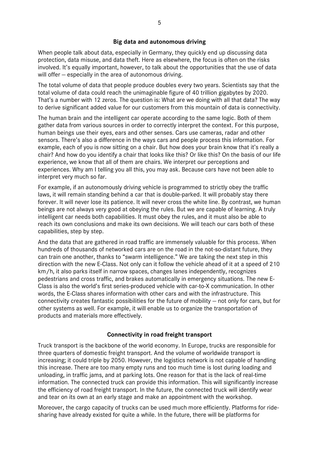### **Big data and autonomous driving**

When people talk about data, especially in Germany, they quickly end up discussing data protection, data misuse, and data theft. Here as elsewhere, the focus is often on the risks involved. It's equally important, however, to talk about the opportunities that the use of data will offer – especially in the area of autonomous driving.

The total volume of data that people produce doubles every two years. Scientists say that the total volume of data could reach the unimaginable figure of 40 trillion gigabytes by 2020. That's a number with 12 zeros. The question is: What are we doing with all that data? The way to derive significant added value for our customers from this mountain of data is connectivity.

The human brain and the intelligent car operate according to the same logic. Both of them gather data from various sources in order to correctly interpret the context. For this purpose, human beings use their eyes, ears and other senses. Cars use cameras, radar and other sensors. There's also a difference in the ways cars and people process this information. For example, each of you is now sitting on a chair. But how does your brain know that it's really a chair? And how do you identify a chair that looks like this? Or like this? On the basis of our life experience, we know that all of them are chairs. We interpret our perceptions and experiences. Why am I telling you all this, you may ask. Because cars have not been able to interpret very much so far.

For example, if an autonomously driving vehicle is programmed to strictly obey the traffic laws, it will remain standing behind a car that is double-parked. It will probably stay there forever. It will never lose its patience. It will never cross the white line. By contrast, we human beings are not always very good at obeying the rules. But we are capable of learning. A truly intelligent car needs both capabilities. It must obey the rules, and it must also be able to reach its own conclusions and make its own decisions. We will teach our cars both of these capabilities, step by step.

And the data that are gathered in road traffic are immensely valuable for this process. When hundreds of thousands of networked cars are on the road in the not-so-distant future, they can train one another, thanks to "swarm intelligence." We are taking the next step in this direction with the new E-Class. Not only can it follow the vehicle ahead of it at a speed of 210 km/h, it also parks itself in narrow spaces, changes lanes independently, recognizes pedestrians and cross traffic, and brakes automatically in emergency situations. The new E-Class is also the world's first series-produced vehicle with car-to-X communication. In other words, the E-Class shares information with other cars and with the infrastructure. This connectivity creates fantastic possibilities for the future of mobility — not only for cars, but for other systems as well. For example, it will enable us to organize the transportation of products and materials more effectively.

#### **Connectivity in road freight transport**

Truck transport is the backbone of the world economy. In Europe, trucks are responsible for three quarters of domestic freight transport. And the volume of worldwide transport is increasing; it could triple by 2050. However, the logistics network is not capable of handling this increase. There are too many empty runs and too much time is lost during loading and unloading, in traffic jams, and at parking lots. One reason for that is the lack of real-time information. The connected truck can provide this information. This will significantly increase the efficiency of road freight transport. In the future, the connected truck will identify wear and tear on its own at an early stage and make an appointment with the workshop.

Moreover, the cargo capacity of trucks can be used much more efficiently. Platforms for ridesharing have already existed for quite a while. In the future, there will be platforms for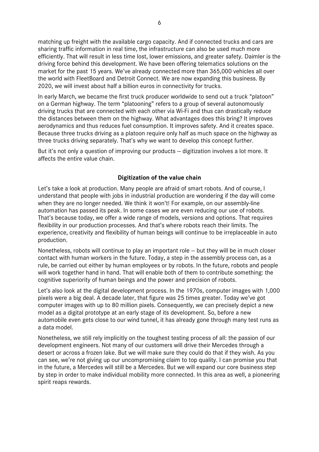matching up freight with the available cargo capacity. And if connected trucks and cars are sharing traffic information in real time, the infrastructure can also be used much more efficiently. That will result in less time lost, lower emissions, and greater safety. Daimler is the driving force behind this development. We have been offering telematics solutions on the market for the past 15 years. We've already connected more than 365,000 vehicles all over the world with FleetBoard and Detroit Connect. We are now expanding this business. By 2020, we will invest about half a billion euros in connectivity for trucks.

In early March, we became the first truck producer worldwide to send out a truck "platoon" on a German highway. The term "platooning" refers to a group of several autonomously driving trucks that are connected with each other via Wi-Fi and thus can drastically reduce the distances between them on the highway. What advantages does this bring? It improves aerodynamics and thus reduces fuel consumption. It improves safety. And it creates space. Because three trucks driving as a platoon require only half as much space on the highway as three trucks driving separately. That's why we want to develop this concept further.

But it's not only a question of improving our products — digitization involves a lot more. It affects the entire value chain.

### **Digitization of the value chain**

Let's take a look at production. Many people are afraid of smart robots. And of course, I understand that people with jobs in industrial production are wondering if the day will come when they are no longer needed. We think it won't! For example, on our assembly-line automation has passed its peak. In some cases we are even reducing our use of robots. That's because today, we offer a wide range of models, versions and options. That requires flexibility in our production processes. And that's where robots reach their limits. The experience, creativity and flexibility of human beings will continue to be irreplaceable in auto production.

Nonetheless, robots will continue to play an important role — but they will be in much closer contact with human workers in the future. Today, a step in the assembly process can, as a rule, be carried out either by human employees or by robots. In the future, robots and people will work together hand in hand. That will enable both of them to contribute something: the cognitive superiority of human beings and the power and precision of robots.

Let's also look at the digital development process. In the 1970s, computer images with 1,000 pixels were a big deal. A decade later, that figure was 25 times greater. Today we've got computer images with up to 80 million pixels. Consequently, we can precisely depict a new model as a digital prototype at an early stage of its development. So, before a new automobile even gets close to our wind tunnel, it has already gone through many test runs as a data model.

Nonetheless, we still rely implicitly on the toughest testing process of all: the passion of our development engineers. Not many of our customers will drive their Mercedes through a desert or across a frozen lake. But we will make sure they could do that if they wish. As you can see, we're not giving up our uncompromising claim to top quality. I can promise you that in the future, a Mercedes will still be a Mercedes. But we will expand our core business step by step in order to make individual mobility more connected. In this area as well, a pioneering spirit reaps rewards.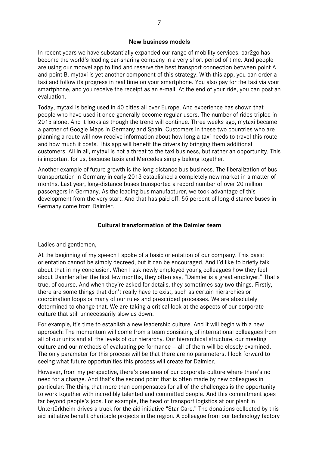#### **New business models**

In recent years we have substantially expanded our range of mobility services. car2go has become the world's leading car-sharing company in a very short period of time. And people are using our moovel app to find and reserve the best transport connection between point A and point B. mytaxi is yet another component of this strategy. With this app, you can order a taxi and follow its progress in real time on your smartphone. You also pay for the taxi via your smartphone, and you receive the receipt as an e-mail. At the end of your ride, you can post an evaluation.

Today, mytaxi is being used in 40 cities all over Europe. And experience has shown that people who have used it once generally become regular users. The number of rides tripled in 2015 alone. And it looks as though the trend will continue. Three weeks ago, mytaxi became a partner of Google Maps in Germany and Spain. Customers in these two countries who are planning a route will now receive information about how long a taxi needs to travel this route and how much it costs. This app will benefit the drivers by bringing them additional customers. All in all, mytaxi is not a threat to the taxi business, but rather an opportunity. This is important for us, because taxis and Mercedes simply belong together.

Another example of future growth is the long-distance bus business. The liberalization of bus transportation in Germany in early 2013 established a completely new market in a matter of months. Last year, long-distance buses transported a record number of over 20 million passengers in Germany. As the leading bus manufacturer, we took advantage of this development from the very start. And that has paid off: 55 percent of long-distance buses in Germany come from Daimler.

## **Cultural transformation of the Daimler team**

Ladies and gentlemen,

At the beginning of my speech I spoke of a basic orientation of our company. This basic orientation cannot be simply decreed, but it can be encouraged. And I'd like to briefly talk about that in my conclusion. When I ask newly employed young colleagues how they feel about Daimler after the first few months, they often say, "Daimler is a great employer." That's true, of course. And when they're asked for details, they sometimes say two things. Firstly, there are some things that don't really have to exist, such as certain hierarchies or coordination loops or many of our rules and prescribed processes. We are absolutely determined to change that. We are taking a critical look at the aspects of our corporate culture that still unnecessarily slow us down.

For example, it's time to establish a new leadership culture. And it will begin with a new approach: The momentum will come from a team consisting of international colleagues from all of our units and all the levels of our hierarchy. Our hierarchical structure, our meeting culture and our methods of evaluating performance — all of them will be closely examined. The only parameter for this process will be that there are no parameters. I look forward to seeing what future opportunities this process will create for Daimler.

However, from my perspective, there's one area of our corporate culture where there's no need for a change. And that's the second point that is often made by new colleagues in particular: The thing that more than compensates for all of the challenges is the opportunity to work together with incredibly talented and committed people. And this commitment goes far beyond people's jobs. For example, the head of transport logistics at our plant in Untertürkheim drives a truck for the aid initiative "Star Care." The donations collected by this aid initiative benefit charitable projects in the region. A colleague from our technology factory